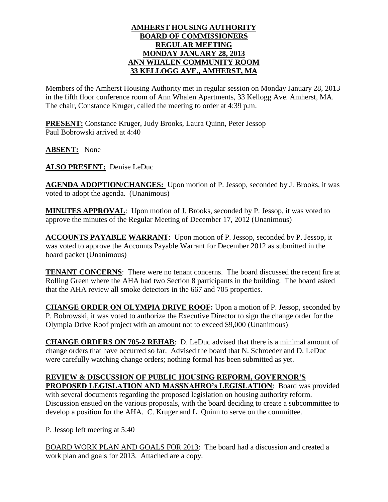## **AMHERST HOUSING AUTHORITY BOARD OF COMMISSIONERS REGULAR MEETING MONDAY JANUARY 28, 2013 ANN WHALEN COMMUNITY ROOM 33 KELLOGG AVE., AMHERST, MA**

Members of the Amherst Housing Authority met in regular session on Monday January 28, 2013 in the fifth floor conference room of Ann Whalen Apartments, 33 Kellogg Ave. Amherst, MA. The chair, Constance Kruger, called the meeting to order at 4:39 p.m.

**PRESENT:** Constance Kruger, Judy Brooks, Laura Quinn, Peter Jessop Paul Bobrowski arrived at 4:40

**ABSENT:** None

**ALSO PRESENT:** Denise LeDuc

**AGENDA ADOPTION/CHANGES:** Upon motion of P. Jessop, seconded by J. Brooks, it was voted to adopt the agenda. (Unanimous)

**MINUTES APPROVAL**: Upon motion of J. Brooks, seconded by P. Jessop, it was voted to approve the minutes of the Regular Meeting of December 17, 2012 (Unanimous)

**ACCOUNTS PAYABLE WARRANT**: Upon motion of P. Jessop, seconded by P. Jessop, it was voted to approve the Accounts Payable Warrant for December 2012 as submitted in the board packet (Unanimous)

**TENANT CONCERNS**: There were no tenant concerns. The board discussed the recent fire at Rolling Green where the AHA had two Section 8 participants in the building. The board asked that the AHA review all smoke detectors in the 667 and 705 properties.

**CHANGE ORDER ON OLYMPIA DRIVE ROOF:** Upon a motion of P. Jessop, seconded by P. Bobrowski, it was voted to authorize the Executive Director to sign the change order for the Olympia Drive Roof project with an amount not to exceed \$9,000 (Unanimous)

**CHANGE ORDERS ON 705-2 REHAB**: D. LeDuc advised that there is a minimal amount of change orders that have occurred so far. Advised the board that N. Schroeder and D. LeDuc were carefully watching change orders; nothing formal has been submitted as yet.

## **REVIEW & DISCUSSION OF PUBLIC HOUSING REFORM, GOVERNOR'S**

**PROPOSED LEGISLATION AND MASSNAHRO's LEGISLATION**: Board was provided with several documents regarding the proposed legislation on housing authority reform. Discussion ensued on the various proposals, with the board deciding to create a subcommittee to develop a position for the AHA. C. Kruger and L. Quinn to serve on the committee.

P. Jessop left meeting at 5:40

BOARD WORK PLAN AND GOALS FOR 2013: The board had a discussion and created a work plan and goals for 2013. Attached are a copy.